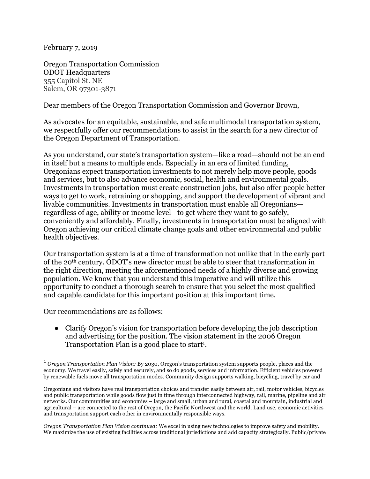February 7, 2019

Oregon Transportation Commission ODOT Headquarters 355 Capitol St. NE Salem, OR 97301-3871

Dear members of the Oregon Transportation Commission and Governor Brown,

As advocates for an equitable, sustainable, and safe multimodal transportation system, we respectfully offer our recommendations to assist in the search for a new director of the Oregon Department of Transportation.

As you understand, our state's transportation system—like a road—should not be an end in itself but a means to multiple ends. Especially in an era of limited funding, Oregonians expect transportation investments to not merely help move people, goods and services, but to also advance economic, social, health and environmental goals. Investments in transportation must create construction jobs, but also offer people better ways to get to work, retraining or shopping, and support the development of vibrant and livable communities. Investments in transportation must enable all Oregonians regardless of age, ability or income level—to get where they want to go safely, conveniently and affordably. Finally, investments in transportation must be aligned with Oregon achieving our critical climate change goals and other environmental and public health objectives.

Our transportation system is at a time of transformation not unlike that in the early part of the 20th century. ODOT's new director must be able to steer that transformation in the right direction, meeting the aforementioned needs of a highly diverse and growing population. We know that you understand this imperative and will utilize this opportunity to conduct a thorough search to ensure that you select the most qualified and capable candidate for this important position at this important time.

Our recommendations are as follows:

j

● Clarify Oregon's vision for transportation before developing the job description and advertising for the position. The vision statement in the 2006 Oregon Transportation Plan is a good place to start<sup>1</sup>.

<sup>1</sup> *Oregon Transportation Plan Vision:* By 2030, Oregon's transportation system supports people, places and the economy. We travel easily, safely and securely, and so do goods, services and information. Efficient vehicles powered by renewable fuels move all transportation modes. Community design supports walking, bicycling, travel by car and

Oregonians and visitors have real transportation choices and transfer easily between air, rail, motor vehicles, bicycles and public transportation while goods flow just in time through interconnected highway, rail, marine, pipeline and air networks. Our communities and economies – large and small, urban and rural, coastal and mountain, industrial and agricultural – are connected to the rest of Oregon, the Pacific Northwest and the world. Land use, economic activities and transportation support each other in environmentally responsible ways.

*Oregon Transportation Plan Vision continued:* We excel in using new technologies to improve safety and mobility. We maximize the use of existing facilities across traditional jurisdictions and add capacity strategically. Public/private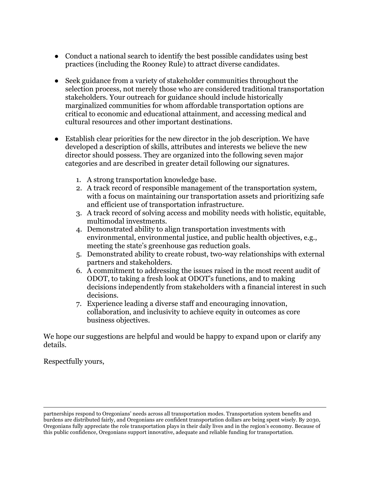- Conduct a national search to identify the best possible candidates using best practices (including the Rooney Rule) to attract diverse candidates.
- Seek guidance from a variety of stakeholder communities throughout the selection process, not merely those who are considered traditional transportation stakeholders. Your outreach for guidance should include historically marginalized communities for whom affordable transportation options are critical to economic and educational attainment, and accessing medical and cultural resources and other important destinations.
- Establish clear priorities for the new director in the job description. We have developed a description of skills, attributes and interests we believe the new director should possess. They are organized into the following seven major categories and are described in greater detail following our signatures.
	- 1. A strong transportation knowledge base.
	- 2. A track record of responsible management of the transportation system, with a focus on maintaining our transportation assets and prioritizing safe and efficient use of transportation infrastructure.
	- 3. A track record of solving access and mobility needs with holistic, equitable, multimodal investments.
	- 4. Demonstrated ability to align transportation investments with environmental, environmental justice, and public health objectives, e.g., meeting the state's greenhouse gas reduction goals.
	- 5. Demonstrated ability to create robust, two-way relationships with external partners and stakeholders.
	- 6. A commitment to addressing the issues raised in the most recent audit of ODOT, to taking a fresh look at ODOT's functions, and to making decisions independently from stakeholders with a financial interest in such decisions.
	- 7. Experience leading a diverse staff and encouraging innovation, collaboration, and inclusivity to achieve equity in outcomes as core business objectives.

We hope our suggestions are helpful and would be happy to expand upon or clarify any details.

Respectfully yours,

j

partnerships respond to Oregonians' needs across all transportation modes. Transportation system benefits and burdens are distributed fairly, and Oregonians are confident transportation dollars are being spent wisely. By 2030, Oregonians fully appreciate the role transportation plays in their daily lives and in the region's economy. Because of this public confidence, Oregonians support innovative, adequate and reliable funding for transportation.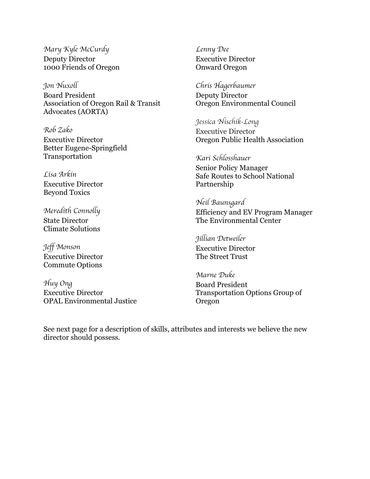*Mary Kyle McCurdy* Deputy Director 1000 Friends of Oregon

*Jon Nuxoll* Board President Association of Oregon Rail & Transit Advocates (AORTA)

*Rob Zako* Executive Director Better Eugene-Springfield Transportation

*Lisa Arkin* Executive Director Beyond Toxics

*Meredith Connolly* State Director Climate Solutions

*Jeff Monson* Executive Director Commute Options

*Huy Ong* Executive Director OPAL Environmental Justice *Lenny Dee* Executive Director Onward Oregon

*Chris Hagerbaumer* Deputy Director Oregon Environmental Council

*Jessica Nischik-Long* Executive Director Oregon Public Health Association

*Kari Schlosshauer* Senior Policy Manager Safe Routes to School National Partnership

*Neil Baunsgard* Efficiency and EV Program Manager The Environmental Center

*Jillian Detweiler* Executive Director The Street Trust

*Marne Duke* Board President Transportation Options Group of Oregon

See next page for a description of skills, attributes and interests we believe the new director should possess.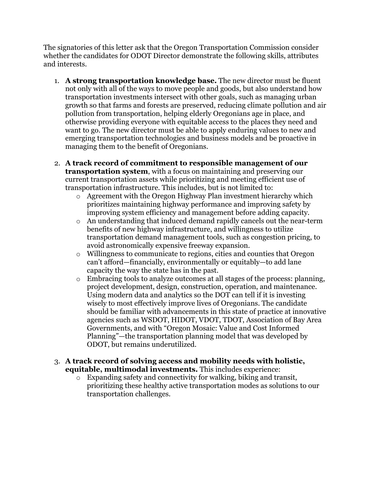The signatories of this letter ask that the Oregon Transportation Commission consider whether the candidates for ODOT Director demonstrate the following skills, attributes and interests.

- 1. **A strong transportation knowledge base.** The new director must be fluent not only with all of the ways to move people and goods, but also understand how transportation investments intersect with other goals, such as managing urban growth so that farms and forests are preserved, reducing climate pollution and air pollution from transportation, helping elderly Oregonians age in place, and otherwise providing everyone with equitable access to the places they need and want to go. The new director must be able to apply enduring values to new and emerging transportation technologies and business models and be proactive in managing them to the benefit of Oregonians.
- 2. **A track record of commitment to responsible management of our transportation system**, with a focus on maintaining and preserving our current transportation assets while prioritizing and meeting efficient use of transportation infrastructure. This includes, but is not limited to:
	- o Agreement with the Oregon Highway Plan investment hierarchy which prioritizes maintaining highway performance and improving safety by improving system efficiency and management before adding capacity.
	- o An understanding that induced demand rapidly cancels out the near-term benefits of new highway infrastructure, and willingness to utilize transportation demand management tools, such as congestion pricing, to avoid astronomically expensive freeway expansion.
	- o Willingness to communicate to regions, cities and counties that Oregon can't afford—financially, environmentally or equitably—to add lane capacity the way the state has in the past.
	- o Embracing tools to analyze outcomes at all stages of the process: planning, project development, design, construction, operation, and maintenance. Using modern data and analytics so the DOT can tell if it is investing wisely to most effectively improve lives of Oregonians. The candidate should be familiar with advancements in this state of practice at innovative agencies such as WSDOT, HIDOT, VDOT, TDOT, Association of Bay Area Governments, and with "Oregon Mosaic: Value and Cost Informed Planning"—the transportation planning model that was developed by ODOT, but remains underutilized.
- 3. **A track record of solving access and mobility needs with holistic, equitable, multimodal investments.** This includes experience:
	- o Expanding safety and connectivity for walking, biking and transit, prioritizing these healthy active transportation modes as solutions to our transportation challenges.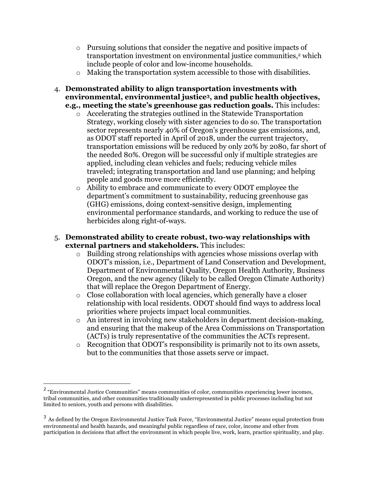- o Pursuing solutions that consider the negative and positive impacts of transportation investment on environmental justice communities,<sup>2</sup> which include people of color and low-income households.
- o Making the transportation system accessible to those with disabilities.
- 4. **Demonstrated ability to align transportation investments with environmental, environmental justice3, and public health objectives, e.g., meeting the state's greenhouse gas reduction goals.** This includes:
	- o Accelerating the strategies outlined in the Statewide Transportation Strategy, working closely with sister agencies to do so. The transportation sector represents nearly 40% of Oregon's greenhouse gas emissions, and, as ODOT staff reported in April of 2018, under the current trajectory, transportation emissions will be reduced by only 20% by 2080, far short of the needed 80%. Oregon will be successful only if multiple strategies are applied, including clean vehicles and fuels; reducing vehicle miles traveled; integrating transportation and land use planning; and helping people and goods move more efficiently.
	- o Ability to embrace and communicate to every ODOT employee the department's commitment to sustainability, reducing greenhouse gas (GHG) emissions, doing context-sensitive design, implementing environmental performance standards, and working to reduce the use of herbicides along right-of-ways.
- 5. **Demonstrated ability to create robust, two-way relationships with external partners and stakeholders.** This includes:
	- o Building strong relationships with agencies whose missions overlap with ODOT's mission, i.e., Department of Land Conservation and Development, Department of Environmental Quality, Oregon Health Authority, Business Oregon, and the new agency (likely to be called Oregon Climate Authority) that will replace the Oregon Department of Energy.
	- o Close collaboration with local agencies, which generally have a closer relationship with local residents. ODOT should find ways to address local priorities where projects impact local communities.
	- o An interest in involving new stakeholders in department decision-making, and ensuring that the makeup of the Area Commissions on Transportation (ACTs) is truly representative of the communities the ACTs represent.
	- o Recognition that ODOT's responsibility is primarily not to its own assets, but to the communities that those assets serve or impact.

j

<sup>&</sup>lt;sup>2</sup> "Environmental Justice Communities" means communities of color, communities experiencing lower incomes, tribal communities, and other communities traditionally underrepresented in public processes including but not limited to seniors, youth and persons with disabilities.

<sup>&</sup>lt;sup>3</sup> As defined by the Oregon Environmental Justice Task Force, "Environmental Justice" means equal protection from environmental and health hazards, and meaningful public regardless of race, color, income and other from participation in decisions that affect the environment in which people live, work, learn, practice spirituality, and play.